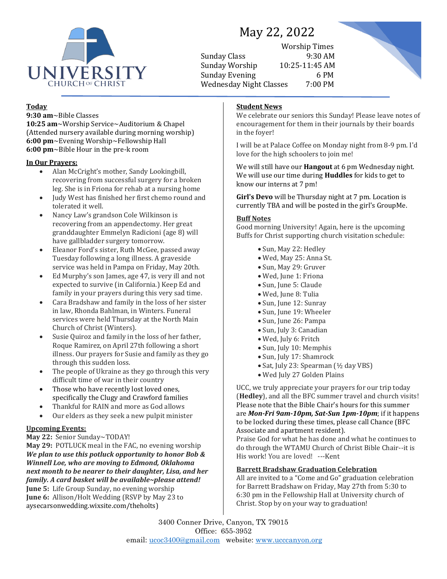

# May 22, 2022

Worship Times Sunday Class 9:30 AM Sunday Worship 10:25-11:45 AM Sunday Evening 6 PM Wednesday Night Classes 7:00 PM



# **Today**

**9:30 am**~Bible Classes **10:25 am**~Worship Service~Auditorium & Chapel (Attended nursery available during morning worship) **6:00 pm**~Evening Worship~Fellowship Hall **6:00 pm**~Bible Hour in the pre-k room

## **In Our Prayers:**

- Alan McCright's mother, Sandy Lookingbill, recovering from successful surgery for a broken leg. She is in Friona for rehab at a nursing home
- Judy West has finished her first chemo round and tolerated it well.
- Nancy Law's grandson Cole Wilkinson is recovering from an appendectomy. Her great granddaughter Emmelyn Radicioni (age 8) will have gallbladder surgery tomorrow.
- Eleanor Ford's sister, Ruth McGee, passed away Tuesday following a long illness. A graveside service was held in Pampa on Friday, May 20th.
- Ed Murphy's son James, age 47, is very ill and not expected to survive (in California.) Keep Ed and family in your prayers during this very sad time.
- Cara Bradshaw and family in the loss of her sister in law, Rhonda Bahlman, in Winters. Funeral services were held Thursday at the North Main Church of Christ (Winters).
- Susie Quiroz and family in the loss of her father, Roque Ramirez, on April 27th following a short illness. Our prayers for Susie and family as they go through this sudden loss.
- The people of Ukraine as they go through this very difficult time of war in their country
- Those who have recently lost loved ones, specifically the Clugy and Crawford families
- Thankful for RAIN and more as God allows
- Our elders as they seek a new pulpit minister

# **Upcoming Events:**

#### **May 22:** Senior Sunday~TODAY!

**May 29:** POTLUCK meal in the FAC, no evening worship *We plan to use this potluck opportunity to honor Bob & Winnell Loe, who are moving to Edmond, Oklahoma next month to be nearer to their daughter, Lisa, and her family. A card basket will be available~please attend!* **June 5:** Life Group Sunday, no evening worship **June 6:** Allison/Holt Wedding (RSVP by May 23 to aysecarsonwedding.wixsite.com/theholts)

# **Student News**

We celebrate our seniors this Sunday! Please leave notes of encouragement for them in their journals by their boards in the foyer!

I will be at Palace Coffee on Monday night from 8-9 pm. I'd love for the high schoolers to join me!

We will still have our **Hangout** at 6 pm Wednesday night. We will use our time during **Huddles** for kids to get to know our interns at 7 pm!

**Girl's Devo** will be Thursday night at 7 pm. Location is currently TBA and will be posted in the girl's GroupMe.

#### **Buff Notes**

Good morning University! Again, here is the upcoming Buffs for Christ supporting church visitation schedule:

- Sun, May 22: Hedley
- Wed, May 25: Anna St.
- Sun, May 29: Gruver
- Wed, June 1: Friona
- Sun, June 5: Claude
- Wed, June 8: Tulia
- Sun, June 12: Sunray
- Sun, June 19: Wheeler
- Sun, June 26: Pampa
- Sun, July 3: Canadian
- Wed, July 6: Fritch
- Sun, July 10: Memphis
- Sun, July 17: Shamrock
- Sat, July 23: Spearman (½ day VBS)
- Wed July 27 Golden Plains

UCC, we truly appreciate your prayers for our trip today (**Hedley**), and all the BFC summer travel and church visits! Please note that the Bible Chair's hours for this summer are *Mon-Fri 9am-10pm, Sat-Sun 1pm-10pm*; if it happens to be locked during these times, please call Chance (BFC Associate and apartment resident).

Praise God for what he has done and what he continues to do through the WTAMU Church of Christ Bible Chair--it is His work! You are loved! ---Kent

#### **Barrett Bradshaw Graduation Celebration**

All are invited to a "Come and Go" graduation celebration for Barrett Bradshaw on Friday, May 27th from 5:30 to 6:30 pm in the Fellowship Hall at University church of Christ. Stop by on your way to graduation!

3400 Conner Drive, Canyon, TX 79015 Office: 655-3952 email: [ucoc3400@gmail.com](mailto:ucoc3400@gmail.com) website: [www.ucccanyon.org](http://www.ucccanyon.org/)